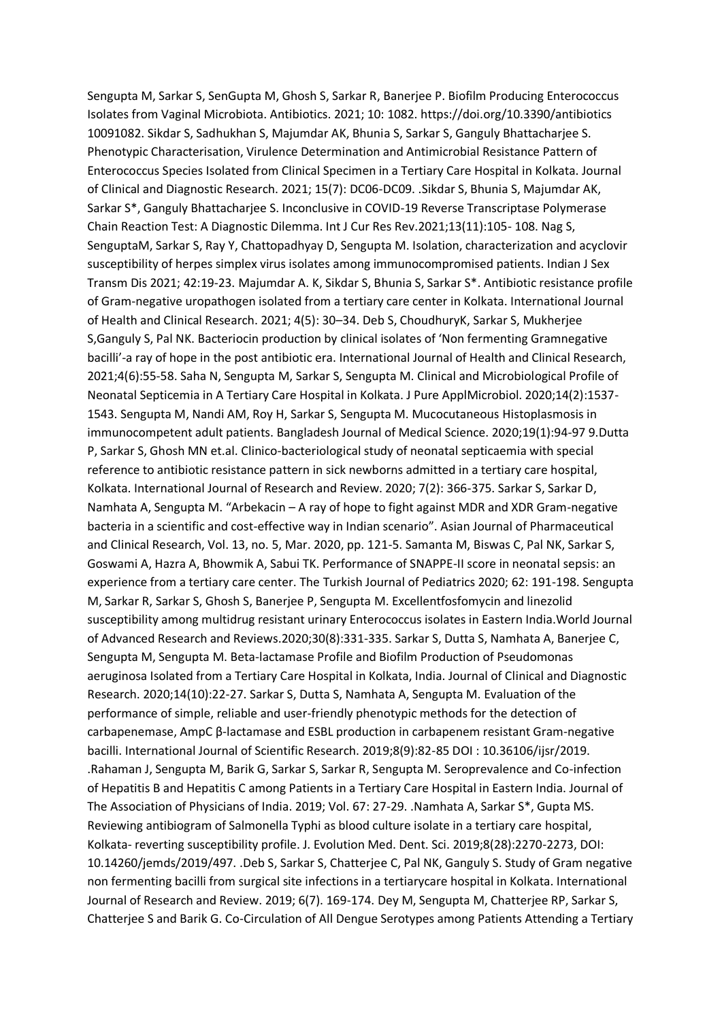Sengupta M, Sarkar S, SenGupta M, Ghosh S, Sarkar R, Banerjee P. Biofilm Producing Enterococcus Isolates from Vaginal Microbiota. Antibiotics. 2021; 10: 1082. https://doi.org/10.3390/antibiotics 10091082. Sikdar S, Sadhukhan S, Majumdar AK, Bhunia S, Sarkar S, Ganguly Bhattacharjee S. Phenotypic Characterisation, Virulence Determination and Antimicrobial Resistance Pattern of Enterococcus Species Isolated from Clinical Specimen in a Tertiary Care Hospital in Kolkata. Journal of Clinical and Diagnostic Research. 2021; 15(7): DC06-DC09. .Sikdar S, Bhunia S, Majumdar AK, Sarkar S\*, Ganguly Bhattacharjee S. Inconclusive in COVID-19 Reverse Transcriptase Polymerase Chain Reaction Test: A Diagnostic Dilemma. Int J Cur Res Rev.2021;13(11):105- 108. Nag S, SenguptaM, Sarkar S, Ray Y, Chattopadhyay D, Sengupta M. Isolation, characterization and acyclovir susceptibility of herpes simplex virus isolates among immunocompromised patients. Indian J Sex Transm Dis 2021; 42:19-23. Majumdar A. K, Sikdar S, Bhunia S, Sarkar S\*. Antibiotic resistance profile of Gram-negative uropathogen isolated from a tertiary care center in Kolkata. International Journal of Health and Clinical Research. 2021; 4(5): 30–34. Deb S, ChoudhuryK, Sarkar S, Mukherjee S,Ganguly S, Pal NK. Bacteriocin production by clinical isolates of 'Non fermenting Gramnegative bacilli'-a ray of hope in the post antibiotic era. International Journal of Health and Clinical Research, 2021;4(6):55-58. Saha N, Sengupta M, Sarkar S, Sengupta M. Clinical and Microbiological Profile of Neonatal Septicemia in A Tertiary Care Hospital in Kolkata. J Pure ApplMicrobiol. 2020;14(2):1537- 1543. Sengupta M, Nandi AM, Roy H, Sarkar S, Sengupta M. Mucocutaneous Histoplasmosis in immunocompetent adult patients. Bangladesh Journal of Medical Science. 2020;19(1):94-97 9.Dutta P, Sarkar S, Ghosh MN et.al. Clinico-bacteriological study of neonatal septicaemia with special reference to antibiotic resistance pattern in sick newborns admitted in a tertiary care hospital, Kolkata. International Journal of Research and Review. 2020; 7(2): 366-375. Sarkar S, Sarkar D, Namhata A, Sengupta M. "Arbekacin – A ray of hope to fight against MDR and XDR Gram-negative bacteria in a scientific and cost-effective way in Indian scenario". Asian Journal of Pharmaceutical and Clinical Research, Vol. 13, no. 5, Mar. 2020, pp. 121-5. Samanta M, Biswas C, Pal NK, Sarkar S, Goswami A, Hazra A, Bhowmik A, Sabui TK. Performance of SNAPPE-II score in neonatal sepsis: an experience from a tertiary care center. The Turkish Journal of Pediatrics 2020; 62: 191-198. Sengupta M, Sarkar R, Sarkar S, Ghosh S, Banerjee P, Sengupta M. Excellentfosfomycin and linezolid susceptibility among multidrug resistant urinary Enterococcus isolates in Eastern India.World Journal of Advanced Research and Reviews.2020;30(8):331-335. Sarkar S, Dutta S, Namhata A, Banerjee C, Sengupta M, Sengupta M. Beta-lactamase Profile and Biofilm Production of Pseudomonas aeruginosa Isolated from a Tertiary Care Hospital in Kolkata, India. Journal of Clinical and Diagnostic Research. 2020;14(10):22-27. Sarkar S, Dutta S, Namhata A, Sengupta M. Evaluation of the performance of simple, reliable and user-friendly phenotypic methods for the detection of carbapenemase, AmpC β-lactamase and ESBL production in carbapenem resistant Gram-negative bacilli. International Journal of Scientific Research. 2019;8(9):82-85 DOI : 10.36106/ijsr/2019. .Rahaman J, Sengupta M, Barik G, Sarkar S, Sarkar R, Sengupta M. Seroprevalence and Co-infection of Hepatitis B and Hepatitis C among Patients in a Tertiary Care Hospital in Eastern India. Journal of The Association of Physicians of India. 2019; Vol. 67: 27-29. .Namhata A, Sarkar S\*, Gupta MS. Reviewing antibiogram of Salmonella Typhi as blood culture isolate in a tertiary care hospital, Kolkata- reverting susceptibility profile. J. Evolution Med. Dent. Sci. 2019;8(28):2270-2273, DOI: 10.14260/jemds/2019/497. .Deb S, Sarkar S, Chatterjee C, Pal NK, Ganguly S. Study of Gram negative non fermenting bacilli from surgical site infections in a tertiarycare hospital in Kolkata. International Journal of Research and Review. 2019; 6(7). 169-174. Dey M, Sengupta M, Chatterjee RP, Sarkar S, Chatterjee S and Barik G. Co-Circulation of All Dengue Serotypes among Patients Attending a Tertiary